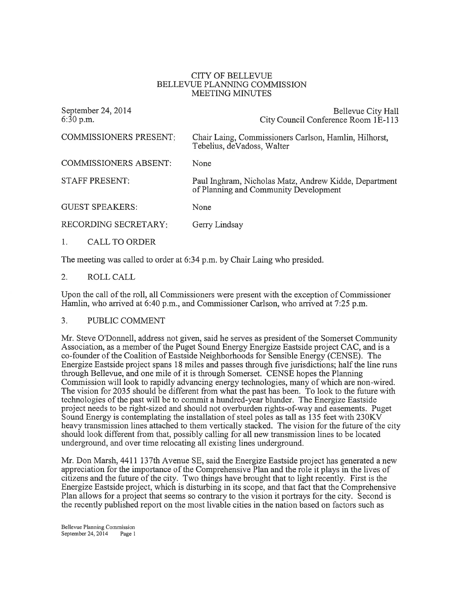## CITY OF BELLEVLIE BELLEVUE PLANNING COMMISSION MEETING MINUTES

| September 24, 2014<br>6:30 p.m. | Bellevue City Hall<br>City Council Conference Room 1E-113                                      |
|---------------------------------|------------------------------------------------------------------------------------------------|
| <b>COMMISSIONERS PRESENT:</b>   | Chair Laing, Commissioners Carlson, Hamlin, Hilhorst,<br>Tebelius, deVadoss, Walter            |
| <b>COMMISSIONERS ABSENT:</b>    | None                                                                                           |
| <b>STAFF PRESENT:</b>           | Paul Inghram, Nicholas Matz, Andrew Kidde, Department<br>of Planning and Community Development |
| <b>GUEST SPEAKERS:</b>          | None                                                                                           |
| <b>RECORDING SECRETARY:</b>     | Gerry Lindsay                                                                                  |
| <b>CALL TO ORDER</b>            |                                                                                                |

The meeting was called to order at 6:34 p.m. by Chair Laing who presided.

2. ROLL CALL

Upon the call of the ro11, all Commissioners were present with the exception of Commissioner Hamlin, who arrived at  $6:40$  p.m., and Commissioner Carlson, who arrived at  $7:25$  p.m.

## 3. PUBLIC COMMENT

Mr. Steve O'Donnell, address not given, said he serves as president of the Somerset Community Association, as a member of the Puget Sound Energy Energize Eastside project CAC, and is a co-founder of the Coalition of Eastside Neighborhoods for Sensible Energy (CENSE). The Energize Eastside project spans 18 miles and passes through five jurisdictions; half the line runs through Bellevue, and one mile of it is through Somerset. CENSE hopes the Planning Commission will look to rapidly advancing energy technologies, many of which are non-wired. The vision for 2035 should be different from what the past has been. To look to the future with technologies of the past will be to commit a hundred-year blunder. The Energize Eastside project needs to be right-sized and should not overburden rights-of-way and easements. Puget Sound Energy is contemplating the installation of steel poles as tall as  $135$  feet with  $230\text{K}V$ heavy transmission lines attached to them vertically stacked. The vision for the future of the city should look different from that, possibly calling for all new transmission lines to be located underground, and over time relocating all existing lines underground.

Mr. Don Marsh, 4411 137th Avenue SE, said the Energize Eastside project has generated a new appreciation for the importance of the Comprehensive Plan and the role it plays in the lives of citizens and the future of the city. Two things have brought that to light recently. First is the Energize Eastside project, which is disturbing in its scope, and that fact that the Comprehensive Plan allows for a project that seems so contrary to the vision it portrays for the city. Second is the recently published report on the most livable cities in the nation based on factors such as

Bellevue Planning Commission<br>September 24, 2014 Page 1 September 24,  $2014$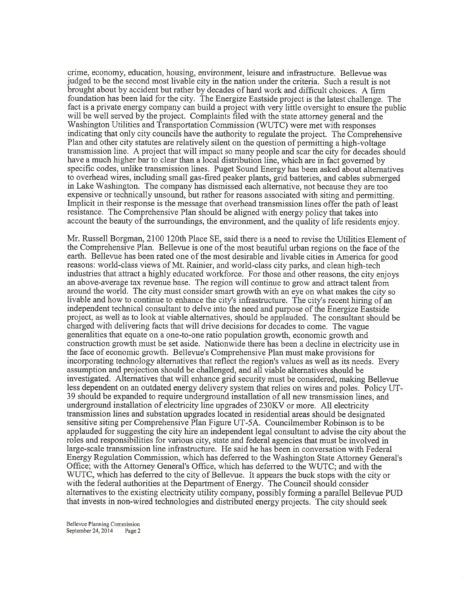crime, economy, education, housing, environment, leisure and infrastructure. Bellevue was judged to be the second most livable city in the nation under the criteria. Such a result is not brought about by accident but rather by decades of hard work and difficult choices. A firm foundation has been laid for the city. The Energize Eastside project is the latest challenge. The fact is a private energy company can build a project with very little oversight to ensure the public<br>will be well served by the project. Compleints filed with the state attempts conorel and the will be well served by the project. Complaints filed with the state attorney general and the Washington Utilities and Transportation Commission (WUTC) were met with responses indicating that only city councils have the authority to regulate the project. The Comprehensive Plan and other city statutes are relatively silent on the question of permitting a high-voltage transmission line. A project that will impact so many people and scar the city for decades should have a much higher bar to clear than a local distribution line, which are in fact governed by specific codes, unlike transmission lines. Puget Sound Energy has been asked about alternatives to overhead wires, including small gas-fired peaker plants, grid batteries, and cables submerged in Lake Washington. The company has dismissed each alternative, not because they are too expensive or technically unsound, but rather for reasons associated with siting and permitting. Implicit in their response is the message that overhead transmission lines offer the path of least resistance. The Comprehensive Plan should be aligned with energy policy that takes into account the beauty of the surroundings, the environment, and the quality of life residents enjoy.

Mr. Russell Borgman, 2100 120th Place SE, said there is a need to revise the Utilities Element of the Comprehensive Plan. Bellevue is one of the most beautiful urban regions on the face of the earth. Bellevue has been rated one of the most desirable and livable cities in America for good reasons: world-class views of Mt. Rainier, and world-class city parks, and clean high-tech industries that attract a highly educated workforce. For those and other reasons, the city enjoys an above-average tax revenue base. The region will continue to grow and attract talent from around the world. The city must consider smart growth with an eye on what makes the city so livable and how to continue to enhance the city's infrastructure. The city's recent hiring of an independent technical consultant to delve into the need and purpose of the Energize Eastside project, as well as to look at viable alternatives, should be applauded. The consultant should be charged with delivering facts that will drive decisions for decades to come. The vague generalities that equate on a one-to-one ratio population growth, economic growth and construction growth must be set aside. Nationwide there has been a decline in electricity use in the face of economic growth. Bellevue's Comprehensive Plan must make provisions for incorporating technology alternatives that reflect the region's values as well as its needs. Every assumption and projection should be challenged, and all viable alternatives should be investigated. Alternatives that will enhance grid security must be considered, making Bellevue less dependent on an outdated energy delivery system that relies on wires and poles. Policy UT-39 should be expanded to require underground installation of all new transmission lines, and underground installation of electricity line upgrades of 230KV or more. All electricity transmission lines and substation upgrades located in residential areas should be designated sensitive siting per Comprehensive Plan Figure UT-5A. Councilmember Robinson is to be applauded for suggesting the city hire an independent legal consultant to advise the city about the roles and responsibilities for various city, state and federal agencies that must be involved in large-scale transmission line infrastructure. He said he has been in conversation with Federal Energy Regulation Commission, which has deferred to the Washington State Attomey General's Office; with the Attorney General's Office, which has deferred to the WUTC; and with the WUTC, which has deferred to the city of Bellevue. It appears the buck stops with the city or with the federal authorities at the Department of Energy. The Council should consider altematives to the existing electricity utility company, possibly forming a parallel Bellevue PUD that invests in non-wired technologies and distributed energy projects. The city should seek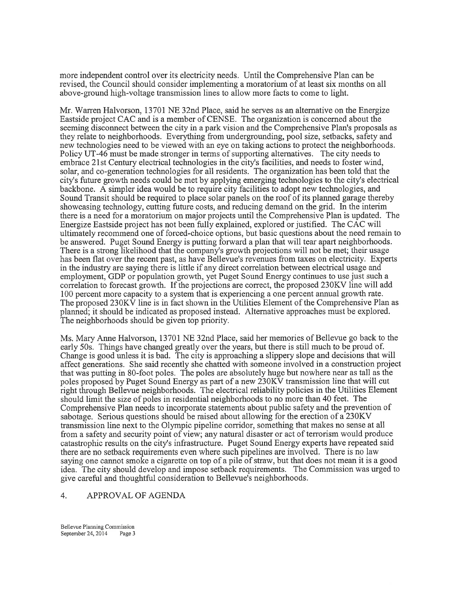more independent control over its electricity needs. Until the Comprehensive Plan can be revised, the Council should consider implementing a moratorium of at least six months on all above-ground high-voltage transmission lines to allow more facts to come to light.

Mr. Warren Halvorson, 1370I NE 32nd Place, said he serves as an altemative on the Energize Eastside project CAC and is a member of CENSE. The organization is concerned about the seeming disconnect between the city in a park vision and the Comprehensive Plan's proposals as they relate to neighborhoods. Everything from undergrounding, pool size, setbacks, safety and new technologies need to be viewed with an eye on taking actions to protect the neighborhoods. Policy UT-46 must be made stronger in terms of supporting altematives. The city needs to embrace 21st Century electrical technologies in the city's facilities, and needs to foster wind, solar, and co-generation technologies for all residents. The organizationhas been told that the city's future growth needs could be met by applyrng emerging technologies to the city's electrical backbone. A simpler idea would be to require city facilities to adopt new technologies, and Sound Transit should be required to place solar panels on the roof of its planned garage thereby showcasing technology, cutting future costs, and reducing demand on the grid. In the interim there is a need for a moratorium on major projects until the Comprehensive Plan is updated. The Energize Eastside project has not been fully explained, explored or justified. The CAC will ultimately recommend one of forced-choice options, but basic questions about the need remain to be answered. Puget Sound Energy is putting forward a plan that will tear apart neighborhoods. There is a strong likelihood that the company's growth projections will not be met; their usage has been flat over the recent past, as have Bellevue's revenues from taxes on electricity. Experts in the induslry are saying there is little if any direct correlation between electrical usage and employment, GDP or population growth, yet Puget Sound Energy continues to use just such a correlation to forecast growth. If the projections are correct, the proposed 230KV line will add 100 percent more capacity to a system that is experiencing a one percent annual growth rate. The proposed 230KV line is in fact shown in the Utilities Element of the Comprehensive Plan as planned; it should be indicated as proposed instead. Altemative approaches must be explored. The neighborhoods should be given top priority.

Ms. Mary Anne Halvorson, 13701 NE 32nd Place, said her memories of Bellewe go back to the early 50s. Things have changed greatly over the years, but there is still much to be proud of. Change is good unless it is bad. The city is approaching a slippery slope and decisions that will affect generations. She said recently she chatted with someone involved in a construction project that was putting in 8O-foot poles. The poles are absolutely huge but nowhere near as tall as the poles proposed by Puget Sound Energy as part of a new 230KV transmission line that will cut right through Bellevue neighborhoods. The electrical reliability policies in the Utilities Element should limit the size of poles in residential neighborhoods to no more than 40 feet. The Comprehensive Plan needs to incorporate statements about public safety and the prevention of sabotage. Serious questions should be raised about allowing for the erection of a 230KV transmission line next to the Olympic pipeline corridor, something that makes no sense at all from a safety and security point of view; any natural disaster or act of terrorism would produce catastrophic results on the city's infrastructure. Puget Sound Energy experts have repeated said there are no setback requirements even where such pipelines are involved. There is no law saying one cannot smoke a cigarette on top of a pile of straw, but that does not mean it is a good idea. The city should develop and impose setback requirements. The Commission was urged to give careful and thoughtful consideration to Bellevue's neighborhoods.

## 4. APPROVAL OF AGENDA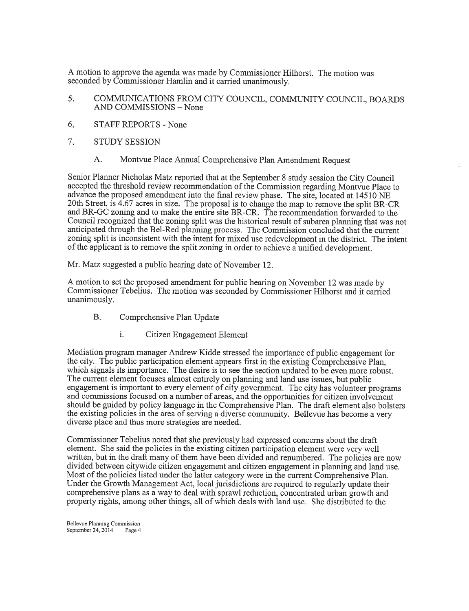seconded by Commissioner Hamlin and it carried unanimously. A motion to approve the agenda was made by Commissioner Hilhorst. The motion was

- 5. COMMLINICATIONS FROM CITY COLINCIL, COMMLINITY COTINCIL, BOARDS AND COMMISSIONS - None
- STAFF REPORTS None 6
- STUDY SESSION 7
	- A. Montvue Place Annual Comprehensive Plan Amendment Request

Senior Planner Nicholas Matz reported that at the September 8 study session the City Council accepted the threshold review recommendation of the Commission regarding Montvue Place to advance the proposed amendment into the final review phase. The site, located at 14510 NE 2OthStreet, is 4.67 acres in size. The proposal is to change the map to remove the split BR-CR and BR-GC zoning and to make the entire site BR-CR. The recommendation forwarded to the Council recognized that the zoning split was the historical result of subarea planning that was not anticipated through the Bel-Red planning process. The Commission concluded thaf the current zoning split is inconsistent with the intent for mixed use redevelopment in the district. The intent of the applicant is to remove the split zoning in order to achieve a unified development.

Mr. Matz suggested a public hearing date of November 12.

A motion to set the proposed amendment for public hearing on November 12 was made by Commissioner Tebelius. The motion was seconded by Commissioner Hilhorst and it carried unanimously.

- B. Comprehensive Plan Update
	- i. Citizen Engagement Element

Mediation program manager Andrew Kidde stressed the importance of public engagement for the city. The public participation element appears first in the existing Comprehensive Plan, which signals its importance. The desire is to see the section updated to be even more robust. The current element focuses almost entirely on planning and land use issues, but public engagement is important to every element of city government. The city has volunteer programs and commissions focused on a number of areas, and the opportunities for citizen involvement should be guided by policy language in the Comprehensive Plan. The draft element also bolsters the existing policies in the area of serving a diverse community. Bellevue has become a very diverse place and thus more strategies are needed.

Commissioner Tebelius noted that she previously had expressed concerns about the draft element. She said the policies in the existing citizen participation element were very well written, but in the draft many of them have been divided and renumbered. The policies are now divided between citywide citizen engagement and citizen engagement in planning and land use. Most of the policies listed under the latter category were in the current Comprehensive Plan. Under the Growth Management Act, local jurisdictions are required to regularly update their comprehensive plans as a way to deal with sprawl reduction, concentrated urban growth and property rights, among other things, all of which deals with land use. She distributed to the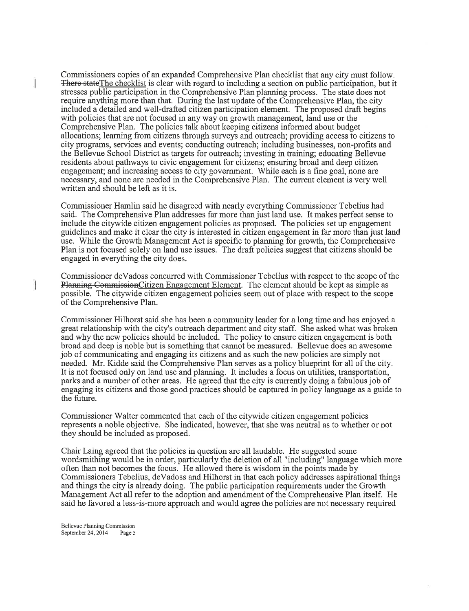Commissioners copies of an expanded Comprehensive Plan checklist that any city must follow. There state The checklist is clear with regard to including a section on public participation, but it stresses public participation in the Comprehensive Plan planning process. The state does not require anything more than that. During the last update of the Comprehensive Plan, the city included a detailed and well-drafted citizen participation element. The proposed draft begins with policies that are not focused in any way on growth management, land use or the Comprehensive Plan. The policies talk about keeping citizens informed about budget allocations; learning from citizens through surveys and outreach; providing access to citizens to city programs, services and events; conducting outreach; including businesses, non-profits and the Bellevue School District as targets for outreach; investing in training; educating Bellewe residents about pathways to civic engagement for citizens; ensuring broad and deep citizen engagement; and increasing access to city govemment. While each is a fine goal, none are necessary, and none are needed in the Comprehensive Plan. The current element is very well written and should be left as it is.

Commissioner Hamlin said he disagreed with nearly everything Commissioner Tebelius had said. The Comprehensive Plan addresses far more than just land use. It makes perfect sense to include the citywide citizen engagement policies as proposed. The policies set up engagement guidelines and make it clear the city is interested in citizen engagement in far more than just land use. While the Growth Management Act is specific to planning for growth, the Comprehensive Plan is not focused solely on land use issues. The draft policies suggest that citizens should be engaged in everything the city does.

Commissioner deVadoss concurred with Commissioner Tebelius with respect to the scope of the Planning Commission Citizen Engagement Element. The element should be kept as simple as possible. The citywide citizen engagement policies seem out of place with respect to the scope of the Comprehensive Plan.

Commissioner Hilhorst said she has been a community leader for a long time and has enjoyed a great relationship with the city's outreach department and city staff. She asked what was broken and why the new policies should be included. The policy to ensure citizen engagement is both broad and deep is noble but is something that cannot be measured. Bellevue does an awesome job of communicating and engaging its citizens and as such the new policies are simply not needed. Mr. Kidde said the Comprehensive Plan serves as a policy blueprint for all of the city. It is not focused only on land use and planning. It includes a focus on utilities, transportation, parks and a number of other areas. He agreed that the city is currently doing a fabulous job of engaging its citizens and those good practices should be captured in policy language as a guide to the future.

Commissioner Walter commented that each of the citywide citizen engagement policies represents a noble objective. She indicated, however, that she was neutral as to whether or not they should be included as proposed.

Chair Laing agreed that the policies in question are all laudable. He suggested some wordsmithing would be in order, particularly the deletion of all "including" language which more often than not becomes the focus. He allowed there is wisdom in the points made by Commissioners Tebelius, deVadoss and Hilhorst in that each policy addresses aspirational things and things the city is already doing. The public participation requirements under the Growth Management Act all refer to the adoption and amendment of the Comprehensive Plan itself. He said he favored a less-is-more approach and would agree the policies are not necessary required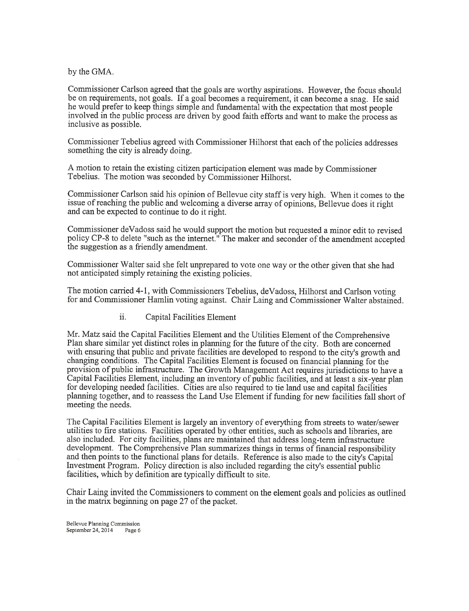by the GMA.

Commissioner Carlson agreed that the goals are worthy aspirations. However, the focus should be on requirements, not goals. If a goal becomes a requirement, it can become a snag. He said he would prefer to keep things simple and fundamental with the expectation that most people involved in the public process are driven by good faith efforts and want to make the process as inclusive as possible.

Commissioner Tebelius agreed with Commissioner Hilhorst that each of the policies addresses something the city is already doing.

A motion to retain the existing citizen participation element was made by Commissioner Tebelius. The motion was seconded by Commissioner Hilhorst.

Commissioner Carlson said his opinion of Bellevue city staff is very high. When it comes to the issue of reaching the public and welcoming a diverse array of opinions, Bellevue does it right and can be expected to continue to do it right.

Commissioner deVadoss said he would support the motion but requested a minor edit to revised policy CP-8 to delete "such as the internet." The maker and seconder of the amendment accepted the suggestion as a friendly amendment.

Commissioner Walter said she felt unprepared to vote one way or the other given that she had not anticipated simply retaining the existing policies.

The motion carried 4-1, with Commissioners Tebelius, deVadoss, Hilhorst and Carlson voting for and Commissioner Hamlin voting against. Chair Laing and Commissioner Walter abstained.

ii. Capital Facilities Element

Mr. Matz said the Capital Facilities Element and the Utilities Element of the Comprehensive Plan share similar yef distinct roles in planning for the future of the city. Both are concemed with ensuring that public and private facilities are developed to respond to the city's growth and changing conditions. The Capital Facilities Element is focused on financial planning for the provision of public infrastructure. The Growth Management Act requires jurisdictions to have a Capital Facilities Element, including an inventory of public facilities, and at least a six-year plan for developing needed facilities. Cities are also required to tie land use and capital facilitiesplanning together, and to reassess the Land Use Element if funding for new facilities fall short of meeting the needs.

The Capital Facilities Element is largely an inventory of everything from streets to water/sewer utilities to fire stations. Facilities operated by other entities, such as schools and libraries, are also included. For city facilities, plans are maintained that address long-term infrastructure development. The Comprehensive Plan summarizes things in terms of financial responsibility and then points to the functional plans for details. Reference is also made to the city's Capital tnvestment Program. Policy direction is also included regarding the city's essential public facilities, which by definition are typically difficult to site.

Chair Laing invited the Commissioners to comment on the element goals and policies as outlined in the matrix beginning on page 27 of the packet.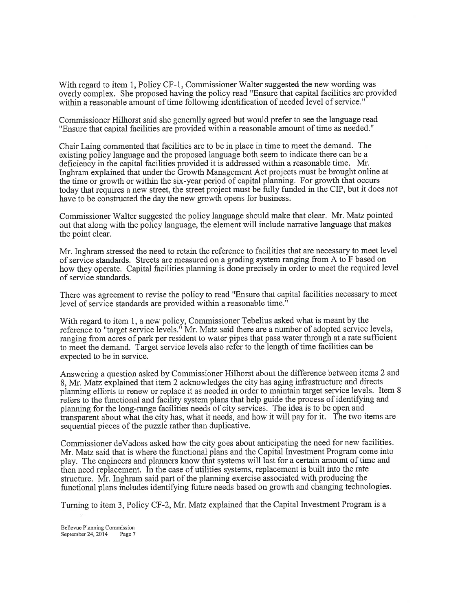With regard to item 1, Policy CF-I, Commissioner Walter suggested the new wording was overly complex. She proposed having the policy read "Ensure that capital facilities are provided within a reasonable amount of time following identification of needed level of service."

Commissioner Hilhorst said she generally agreed but would prefer to see the language read "Ensure that capital facilities are provided within a reasonable amount of time as needed."

Chair Laing commented that facilities are to be in place in time to meet the demand. The existing policy language and the proposed language both seem to indicate there can be a deficiency in the capital facilities provided it is addressed within a reasonable time. Mr. Inghram explained that under the Growth Management Act projects must be brought online at the time or growth or within the six-year period of capital planning. For growth that occurs today that requires a new street, the street project must be fully funded in the CIP, but it does not have to be constructed the day the new growth opens for business.

Commissioner Walter suggested the policy language should make that clear. Mr. Matz pointed out that along with the policy language, the element will include narrative language that makes the point clear.

Mr. Inghram stressed the need to retain the reference to facilities that are necessary to meet level of service standards. Streets are measured on a grading system ranging from A to F based on how they operate. Capital facilities planning is done precisely in order to meet the required level of service standards.

There was agreement to revise the policy to read "Ensure that capital facilities necessary to meet level of service standards are provided within a reasonable time."

With regard to item 1, a new policy, Commissioner Tebelius asked what is meant by the reference to "target service levels." Mr. Matz said there are a number of adopted service levels, ranging from acres of park per resident to water pipes that pass water through at a rate sufficient to meet the demand. Target service levels also refer to the length of time facilities can be expected to be in service.

Answering a question asked by Commissioner Hilhorst about the difference between items 2 and 8, Mr. Matz explained that item 2 acknowledges the city has aging infrastructure and directs plaruring efforts to renew or replace it as needed in order to maintain targer service levels. Item <sup>8</sup> iefers to the functional and facility system plans that help guide the process of identifying and planning for the long-range facilities needs of city services. The idea is to be open and transparent about what the city has, what it needs, and how it will pay for it. The two items are sequential pieces of the puzzle rather than duplicative.

Commissioner deVadoss asked how the city goes about anticipating the need for new facilities. Mr. Matz said that is where the functional plans and the Capital lnvestment Program come into play. The engineers and planners know that systems will last for a certain amount of time and then need replacement. In the case of utilities systems, replacement is built into the rate structure. Mr. lnghram said part of the planning exercise associated with producing the functional plans includes identifying future needs based on growth and changing technologies.

Tuming to item 3, Policy CF-2, Mr. Matz explained that the Capital Investment Program is <sup>a</sup>

Bellevue Planning Commission<br>September 24, 2014 Page 7 September 24,  $2014$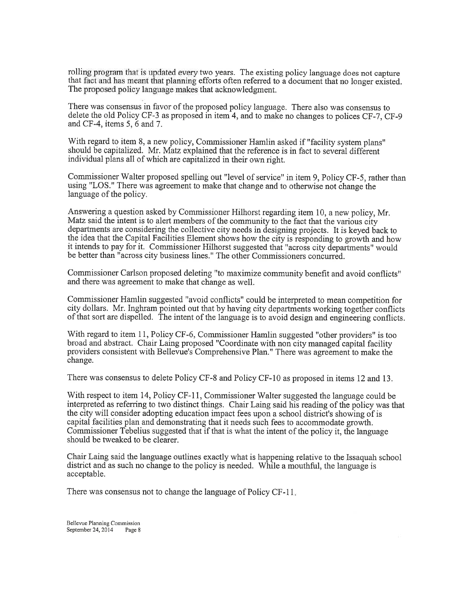rolling program that is updated every two years. The existing policy language does not capture that fact and has meant that planning efforts often referred to a document that no longer existed. The proposed policy language

There was consensus in favor of the proposed policy language. There also was consensus to delete the old Policy CF-3 as proposed in item 4, and to make no changes to polices CF-7, CF-9 and CF-4, items  $5, 6$  and  $7$ .

With regard to item 8, a new policy, Commissioner Hamlin asked if "facility system plans" should be capitalized. Mr. Matz explained that the reference is in fact to several different individual plans all of which are capitalized in their own right.

Commissioner Walter proposed spelling out "level of seryice" in item 9, Policy CF-5, rather than using "LOS\_." There was agreement to make that change and to otherwise not change the language of the policy.

Answering a question asked by Commissioner Hilhorst regarding item 10, a new policy, Mr. Matz said the intent is to alert members of the community to the fact that the various city departments are considering the collective city needs in designing projects. It is keyed back to the idea that the Capital Facilities Element shows how the city is responding to growth and how it intends 1o pay for it. Commissioner Hilhorst suggested that "across city departments" would be better than "across city business lines." The other Commissioners concurred.

Commissioner Carlson proposed deleting "to maximize community benefit and avoid conflicts" and there was agreement to make that change as well.

Commissioner Hamlin suggested "avoid conflicts" could be interpreted to mean competition for city dollars. Mr. Inghram pointed out that by having city departments working together conflicts of that sort are dispelled. The intent of the language is to avoid design and engineering conflicts.

With regard to item 11, Policy CF-6, Commissioner Hamlin suggested "other providers" is too broad and abstract. Chair Laing proposed "Coordinate with non city managed capital facility providers consistent with Bellevue's Comprehensive Plan." There was agreemenfto make the change.

There was consensus to delete Policy CF-8 and Policy CF-l0 as proposed in items 12 and 13.

With respect to item 14, Policy CF-11, Commissioner Walter suggested the language could be interpreted as referring to two distinct things. Chair Laing said his reading of the policy was that the city will consider adopting education impact fees upon a school district's showlng of is capital facilities plan and demonstrating that it needs such fees to accommodate growth. Commissioner Tebelius suggested that if that is what the intent of the policy it, the language should be tweaked to be clearer.

Chair Laing said the language outlines exactly what is happening relative to the Issaquah school district and as such no change to the policy is needed. While a mouthful, the language is acceptable.

There was consensus not to change the language of Policy CF-11

Bellevue Planning Commission<br>September 24, 2014 Page 8 September 24,  $2014$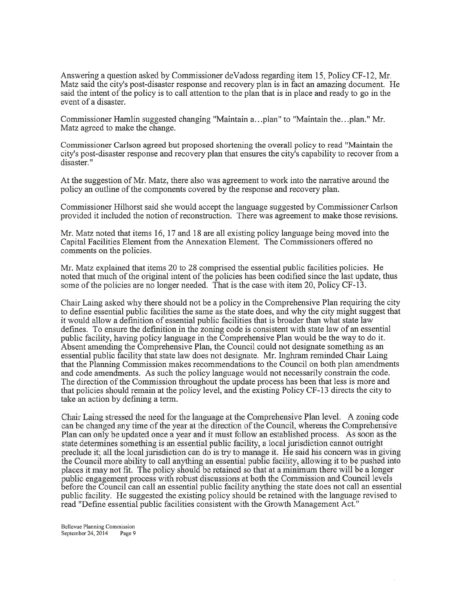Answering a question asked by Commissioner deVadoss regarding item 15, Policy CF-12, Mr. Matz said the city's post-disaster response and recovery plan is in fact an amazing document. He said the intent of the policy is to call attention to the plan that is in place and ready to go in the event of a disaster.

Commissioner Hamlin suggested changing "Maintain a...plan" to "Maintain the...plan." Mr. Matz agreed to make the change.

Commissioner Carlson agreed but proposed shortening the overall policy to read "Maintain the city's post-disaster response and recovery plan that ensures the city's capability to recover from a disaster. "

At the suggestion of Mr. Matz, there also was agreement to work into the narrative around the policy an outline of the components covered by the response and recovery plan.

Commissioner Hilhorst said she would accept the language suggested by Commissioner Carlson provided it included the notion of reconstruction. There was agreement to make those revisions.

Mr. Matz noted that items 16, 17 and 18 are all existing policy language being moved into the Capital Facilities Element from the Annexation Element. The Commissioners offered no comments on the policies.

Mr. Matz explained that items 20 to 28 comprised the essential public facilities policies. He noted that much of the original intent of the policies has been codified since the last update, thus some of the policies are no longer needed. That is the case with item 20, Policy CF-13.

Chair Laing asked why there should not be a policy in the Comprehensive Plan requiring the city to define essential public facilities the same as the state does, and why the city might suggest that it would allow a definition of essential public facilities that is broader than what state law defines. To ensure the definition in the zoning code is consistent with state law of an essential public facility, having policy language in the Comprehensive Plan would be the way to do it. Absent amending the Comprehensive Plan, the Council could not designate something as an essential public facility that state law does not designate. Mr. Inghram reminded Chair Laing that the Planning Commission makes recommendations to the Council on both plan amendments and code amendments. As such the policy language would not necessarily constrain the code. The direction of the Commission throughout the update process has been that less is more and that policies should remain at the policy level, and the existing Policy CF-l3 directs the city to take an action by defining a term.

Chair Laing stressed the need for the language at the Comprehensive Plan level. A zoning code can be changed any time of the year at the direction of the Council, whereas the Comprehensive Plan can only be updated once a year and it must follow an established process. As soon as the state determines something is an essential public facility, a local jurisdiction cannot outright preclude it: all the local jurisdiction can do is try to manage it. He said his concern was in giving the Council more ability to call anything an essential public facility, allowing it to be pushed into places it may not fit. The policy should be retained so that at a minimum there will be a longer public engagement process with robust discussions at both the Commission and Council levels before the Council can call an essential public facility anything the state does not call an essential public facility. He suggested the existing policy should be retained with the language revised to read "Define essential public facilities consistent with the Growth Management Act."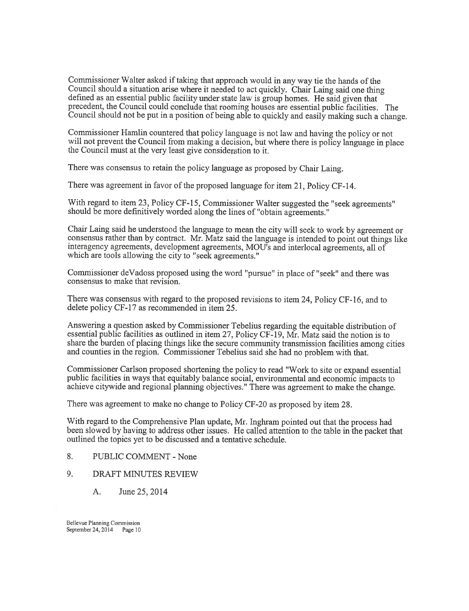Commissioner Walter asked if taking that approach would in any way tie the hands of the Council should a situation arise where it needed to act quickly. Chair Laing said one thing defined as an essential public facility under state law is group homes. He said given that precedent, the Council could conclude that rooming houses are essential public facilities. The Council should not be put in a position of being able to quickly and easily making such a change.

Commissioner Hamlin countered that policy language is not law and having the policy or not will not prevent the Council from making a decision, but where there is policy language in place the Council must at the very least give consideration to it.

There was consensus to retain the policy language as proposed by Chair Laing.

There was agreement in favor of the proposed language for item 21, Policy CF-l4.

With regard to item 23, Policy CF-15, Commissioner Walter suggested the "seek agreements" should be more definitively worded along the lines of "obtain agreements."

Chair Laing said he understood the language to mean the city will seek to work by agreement or consensus rather than by contract. Mr. Matz said the language is intended to point out things like interagency agreements, development agreements, MOU's and interlocal agreements, all of which are tools allowing the city to "seek agreements."

Commissioner deVadoss proposed using the word "pursue" in place of "seek" and there was consensus to make that revision.

There was consensus with regard to the proposed revisions to item 24, Policy CF-16, and to delete policy CF-17 as recommended in item 25.

Answering a question asked by Commissioner Tebelius regarding the equitable distribution of essential public facilities as outlined in item 27, Policy CF-19, Mr. Matz said the notion is to share the burden of placing things like the secure community transmission facilities among cities and counties in the region. Commissioner Tebelius said she had no problem with that.

Commissioner Carlson proposed shortening the policy to read "Work to site or expand essential public facilities in ways that equitably balance social, environmental and economic impacts to achieve citywide and regional planning objectives." There was agreement to make the change.

There was agreement to make no change to Policy CF-20 as proposed by item 28.

With regard to the Comprehensive Plan update, Mr. lnghram pointed out that the process had been slowed by having to address other issues. He called attention to the table in the packet that outlined the topics yet to be discussed and a tentative schedule.

- 8. PUBLIC COMMENT None
- 9. DRAFT MINUTES REVIEW
	- A. June25,2014